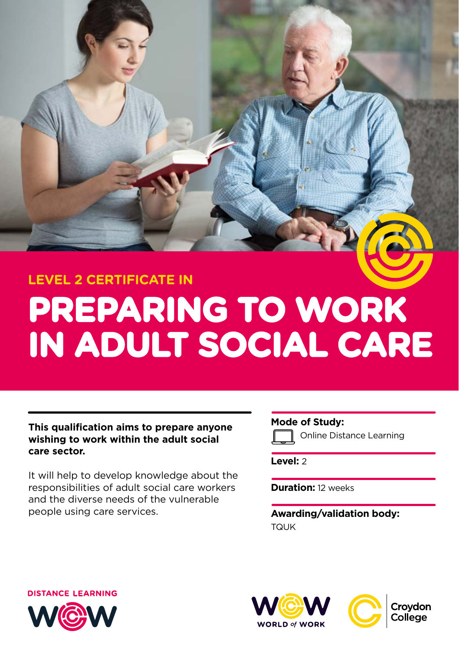# **PREPARING TO WORK IN ADULT SOCIAL CARE LEVEL 2 CERTIFICATE IN**

# **This qualification aims to prepare anyone wishing to work within the adult social care sector.**

It will help to develop knowledge about the responsibilities of adult social care workers and the diverse needs of the vulnerable people using care services.

# **Mode of Study:**

Online Distance Learning

**Level:** 2

**Duration:** 12 weeks

**Awarding/validation body:**  TQUK